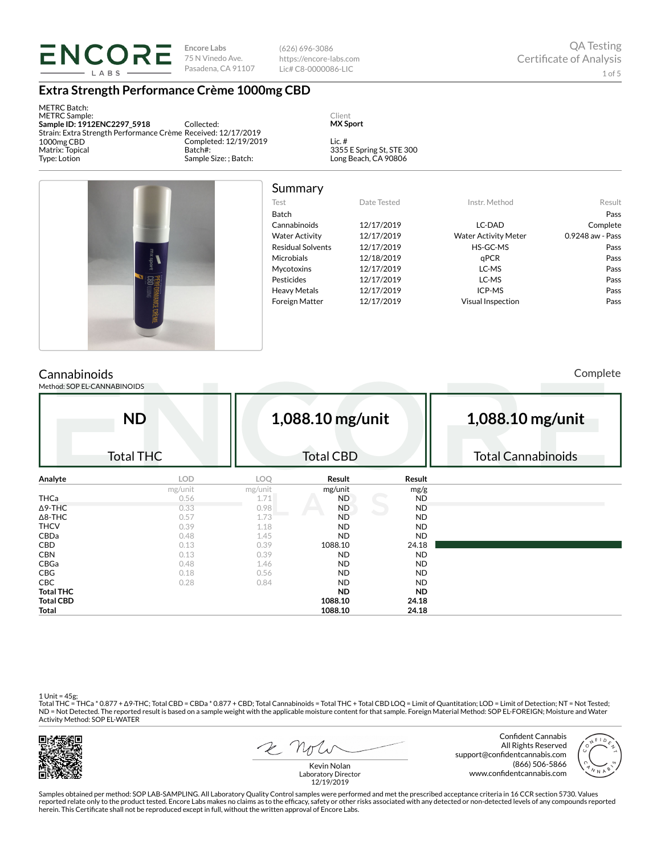

(626) 696-3086 https://encore-labs.com Lic# C8-0000086-LIC

### **Extra Strength Performance Crème 1000mg CBD**

METRC Batch: METRC Sample: **Sample ID: 1912ENC2297\_5918** Strain: Extra Strength Performance Crème Received: 12/17/2019 1000mg CBD Matrix: Topical Type: Lotion

Collected: Completed: 12/19/2019 Batch#: Sample Size: ; Batch:

Client **MX Sport**

Lic. # 3355 E Spring St, STE 300 Long Beach, CA 90806



# Summary

| .                        |             |                             |                  |
|--------------------------|-------------|-----------------------------|------------------|
| Test                     | Date Tested | Instr. Method               | Result           |
| <b>Batch</b>             |             |                             | Pass             |
| Cannabinoids             | 12/17/2019  | LC-DAD                      | Complete         |
| <b>Water Activity</b>    | 12/17/2019  | <b>Water Activity Meter</b> | 0.9248 aw - Pass |
| <b>Residual Solvents</b> | 12/17/2019  | HS-GC-MS                    | Pass             |
| <b>Microbials</b>        | 12/18/2019  | aPCR                        | Pass             |
| <b>Mycotoxins</b>        | 12/17/2019  | LC-MS                       | Pass             |
| Pesticides               | 12/17/2019  | LC-MS                       | Pass             |
| <b>Heavy Metals</b>      | 12/17/2019  | ICP-MS                      | Pass             |
| <b>Foreign Matter</b>    | 12/17/2019  | <b>Visual Inspection</b>    | Pass             |
|                          |             |                             |                  |

## **Cannabinoids**

Method: SOP EL-CANNABINOIDS

Complete

|                  | <b>ND</b>        | 1,088.10 mg/unit |                  |           | 1,088.10 mg/unit          |  |  |  |
|------------------|------------------|------------------|------------------|-----------|---------------------------|--|--|--|
|                  | <b>Total THC</b> |                  | <b>Total CBD</b> |           | <b>Total Cannabinoids</b> |  |  |  |
| Analyte          | LOD              | LOQ              | Result           | Result    |                           |  |  |  |
|                  | mg/unit          | mg/unit          | mg/unit          | mg/g      |                           |  |  |  |
| <b>THCa</b>      | 0.56             | 1.71             | ND               | <b>ND</b> |                           |  |  |  |
| $\Delta$ 9-THC   | 0.33             | 0.98             | <b>ND</b>        | <b>ND</b> |                           |  |  |  |
| $\Delta$ 8-THC   | 0.57             | 1.73             | <b>ND</b>        | <b>ND</b> |                           |  |  |  |
| <b>THCV</b>      | 0.39             | 1.18             | <b>ND</b>        | <b>ND</b> |                           |  |  |  |
| CBDa             | 0.48             | 1.45             | <b>ND</b>        | <b>ND</b> |                           |  |  |  |
| CBD              | 0.13             | 0.39             | 1088.10          | 24.18     |                           |  |  |  |
| <b>CBN</b>       | 0.13             | 0.39             | <b>ND</b>        | <b>ND</b> |                           |  |  |  |
| CBGa             | 0.48             | 1.46             | <b>ND</b>        | <b>ND</b> |                           |  |  |  |
| <b>CBG</b>       | 0.18             | 0.56             | <b>ND</b>        | <b>ND</b> |                           |  |  |  |
| <b>CBC</b>       | 0.28             | 0.84             | <b>ND</b>        | <b>ND</b> |                           |  |  |  |
| <b>Total THC</b> |                  |                  | <b>ND</b>        | <b>ND</b> |                           |  |  |  |
| <b>Total CBD</b> |                  |                  | 1088.10          | 24.18     |                           |  |  |  |
| Total            |                  |                  | 1088.10          | 24.18     |                           |  |  |  |

1 Unit = 45g;<br>Total THC = THCa \* 0.877 + Δ9-THC; Total CBD = CBDa \* 0.877 + CBD; Total Cannabinoids = Total THC + Total CBD LOQ = Limit of Quantitation; LOD = Limit of Detection; NT = Not Tested;<br>ND = Not Detected. The rep Activity Method: SOP EL-WATER



2 Not

Confident Cannabis All Rights Reserved support@confidentcannabis.com (866) 506-5866 www.confidentcannabis.com



Kevin Nolan Laboratory Director 12/19/2019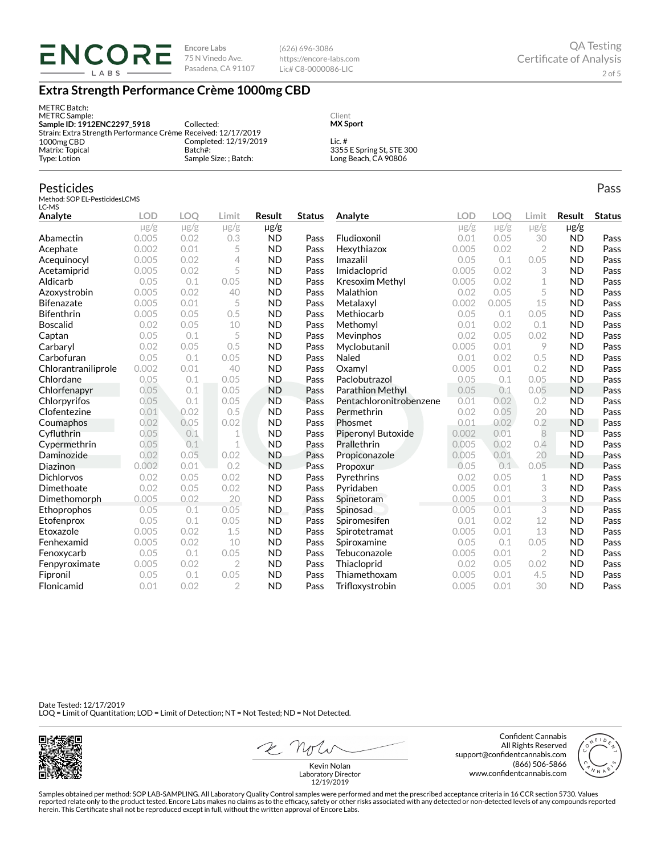(626) 696-3086 https://encore-labs.com Lic# C8-0000086-LIC

## **Extra Strength Performance Crème 1000mg CBD**

| METRC Batch:<br>METRC Sample:<br>Sample ID: 1912ENC2297 5918  | Collected:            | Client<br><b>MX Sport</b> |
|---------------------------------------------------------------|-----------------------|---------------------------|
| Strain: Extra Strength Performance Crème Received: 12/17/2019 |                       |                           |
| 1000mg CBD                                                    | Completed: 12/19/2019 | $l$ ic. #                 |
| Matrix: Topical                                               | Batch#:               | 3355 E Spring St, STE 300 |
| Type: Lotion                                                  | Sample Size: ; Batch: | Long Beach, CA 90806      |

#### Pesticides

Method: SOP EL-PesticidesLCMS LC-MS

| Analyte             | <b>LOD</b> | LOO       | Limit          | Result    | <b>Status</b> | Analyte                 | <b>LOD</b> | LOO       | Limit          | Result    | <b>Status</b> |
|---------------------|------------|-----------|----------------|-----------|---------------|-------------------------|------------|-----------|----------------|-----------|---------------|
|                     | $\mu$ g/g  | $\mu$ g/g | $\mu$ g/g      | µg/g      |               |                         | $\mu$ g/g  | $\mu$ g/g | $\mu$ g/g      | $\mu$ g/g |               |
| Abamectin           | 0.005      | 0.02      | 0.3            | <b>ND</b> | Pass          | Fludioxonil             | 0.01       | 0.05      | 30             | <b>ND</b> | Pass          |
| Acephate            | 0.002      | 0.01      | 5              | <b>ND</b> | Pass          | Hexythiazox             | 0.005      | 0.02      | $\overline{2}$ | <b>ND</b> | Pass          |
| Acequinocyl         | 0.005      | 0.02      | 4              | <b>ND</b> | Pass          | Imazalil                | 0.05       | 0.1       | 0.05           | <b>ND</b> | Pass          |
| Acetamiprid         | 0.005      | 0.02      | 5              | <b>ND</b> | Pass          | Imidacloprid            | 0.005      | 0.02      | 3              | <b>ND</b> | Pass          |
| Aldicarb            | 0.05       | 0.1       | 0.05           | <b>ND</b> | Pass          | <b>Kresoxim Methyl</b>  | 0.005      | 0.02      | 1              | <b>ND</b> | Pass          |
| Azoxystrobin        | 0.005      | 0.02      | 40             | <b>ND</b> | Pass          | Malathion               | 0.02       | 0.05      | 5              | <b>ND</b> | Pass          |
| <b>Bifenazate</b>   | 0.005      | 0.01      | 5              | <b>ND</b> | Pass          | Metalaxyl               | 0.002      | 0.005     | 15             | <b>ND</b> | Pass          |
| <b>Bifenthrin</b>   | 0.005      | 0.05      | 0.5            | <b>ND</b> | Pass          | Methiocarb              | 0.05       | 0.1       | 0.05           | <b>ND</b> | Pass          |
| <b>Boscalid</b>     | 0.02       | 0.05      | 10             | <b>ND</b> | Pass          | Methomyl                | 0.01       | 0.02      | 0.1            | <b>ND</b> | Pass          |
| Captan              | 0.05       | 0.1       | 5              | <b>ND</b> | Pass          | Mevinphos               | 0.02       | 0.05      | 0.02           | <b>ND</b> | Pass          |
| Carbaryl            | 0.02       | 0.05      | 0.5            | <b>ND</b> | Pass          | Myclobutanil            | 0.005      | 0.01      | 9              | <b>ND</b> | Pass          |
| Carbofuran          | 0.05       | 0.1       | 0.05           | <b>ND</b> | Pass          | Naled                   | 0.01       | 0.02      | 0.5            | <b>ND</b> | Pass          |
| Chlorantraniliprole | 0.002      | 0.01      | 40             | <b>ND</b> | Pass          | Oxamyl                  | 0.005      | 0.01      | 0.2            | <b>ND</b> | Pass          |
| Chlordane           | 0.05       | 0.1       | 0.05           | <b>ND</b> | Pass          | Paclobutrazol           | 0.05       | 0.1       | 0.05           | <b>ND</b> | Pass          |
| Chlorfenapyr        | 0.05       | 0.1       | 0.05           | <b>ND</b> | Pass          | <b>Parathion Methyl</b> | 0.05       | 0.1       | 0.05           | <b>ND</b> | Pass          |
| Chlorpyrifos        | 0.05       | 0.1       | 0.05           | <b>ND</b> | Pass          | Pentachloronitrobenzene | 0.01       | 0.02      | 0.2            | <b>ND</b> | Pass          |
| Clofentezine        | 0.01       | 0.02      | 0.5            | <b>ND</b> | Pass          | Permethrin              | 0.02       | 0.05      | 20             | <b>ND</b> | Pass          |
| Coumaphos           | 0.02       | 0.05      | 0.02           | <b>ND</b> | Pass          | Phosmet                 | 0.01       | 0.02      | 0.2            | <b>ND</b> | Pass          |
| Cyfluthrin          | 0.05       | 0.1       | 1              | <b>ND</b> | Pass          | Piperonyl Butoxide      | 0.002      | 0.01      | 8              | <b>ND</b> | Pass          |
| Cypermethrin        | 0.05       | 0.1       | 1              | <b>ND</b> | Pass          | Prallethrin             | 0.005      | 0.02      | 0.4            | <b>ND</b> | Pass          |
| Daminozide          | 0.02       | 0.05      | 0.02           | <b>ND</b> | Pass          | Propiconazole           | 0.005      | 0.01      | 20             | <b>ND</b> | Pass          |
| Diazinon            | 0.002      | 0.01      | 0.2            | <b>ND</b> | Pass          | Propoxur                | 0.05       | 0.1       | 0.05           | <b>ND</b> | Pass          |
| <b>Dichlorvos</b>   | 0.02       | 0.05      | 0.02           | <b>ND</b> | Pass          | Pyrethrins              | 0.02       | 0.05      | 1              | <b>ND</b> | Pass          |
| Dimethoate          | 0.02       | 0.05      | 0.02           | <b>ND</b> | Pass          | Pyridaben               | 0.005      | 0.01      | 3              | <b>ND</b> | Pass          |
| Dimethomorph        | 0.005      | 0.02      | 20             | <b>ND</b> | Pass          | Spinetoram              | 0.005      | 0.01      | 3              | <b>ND</b> | Pass          |
| Ethoprophos         | 0.05       | 0.1       | 0.05           | <b>ND</b> | Pass          | Spinosad                | 0.005      | 0.01      | 3              | <b>ND</b> | Pass          |
| Etofenprox          | 0.05       | 0.1       | 0.05           | <b>ND</b> | Pass          | Spiromesifen            | 0.01       | 0.02      | 12             | <b>ND</b> | Pass          |
| Etoxazole           | 0.005      | 0.02      | 1.5            | <b>ND</b> | Pass          | Spirotetramat           | 0.005      | 0.01      | 13             | <b>ND</b> | Pass          |
| Fenhexamid          | 0.005      | 0.02      | 10             | <b>ND</b> | Pass          | Spiroxamine             | 0.05       | 0.1       | 0.05           | <b>ND</b> | Pass          |
| Fenoxycarb          | 0.05       | 0.1       | 0.05           | <b>ND</b> | Pass          | Tebuconazole            | 0.005      | 0.01      | $\overline{2}$ | <b>ND</b> | Pass          |
| Fenpyroximate       | 0.005      | 0.02      | $\overline{2}$ | <b>ND</b> | Pass          | Thiacloprid             | 0.02       | 0.05      | 0.02           | <b>ND</b> | Pass          |
| Fipronil            | 0.05       | 0.1       | 0.05           | <b>ND</b> | Pass          | Thiamethoxam            | 0.005      | 0.01      | 4.5            | <b>ND</b> | Pass          |
| Flonicamid          | 0.01       | 0.02      | $\overline{2}$ | <b>ND</b> | Pass          | Trifloxystrobin         | 0.005      | 0.01      | 30             | <b>ND</b> | Pass          |

Date Tested: 12/17/2019 LOQ = Limit of Quantitation; LOD = Limit of Detection; NT = Not Tested; ND = Not Detected.



2 Not

Confident Cannabis All Rights Reserved support@confidentcannabis.com (866) 506-5866 www.confidentcannabis.com



Kevin Nolan Laboratory Director 12/19/2019

Samples obtained per method: SOP LAB-SAMPLING. All Laboratory Quality Control samples were performed and met the prescribed acceptance criteria in 16 CCR section 5730. Values reported relate only to the product tested. Encore Labs makes no claims as to the efficacy, safety or other risks associated with any detected or non-detected levels of any compounds reported<br>herein. This Certificate shall

Pass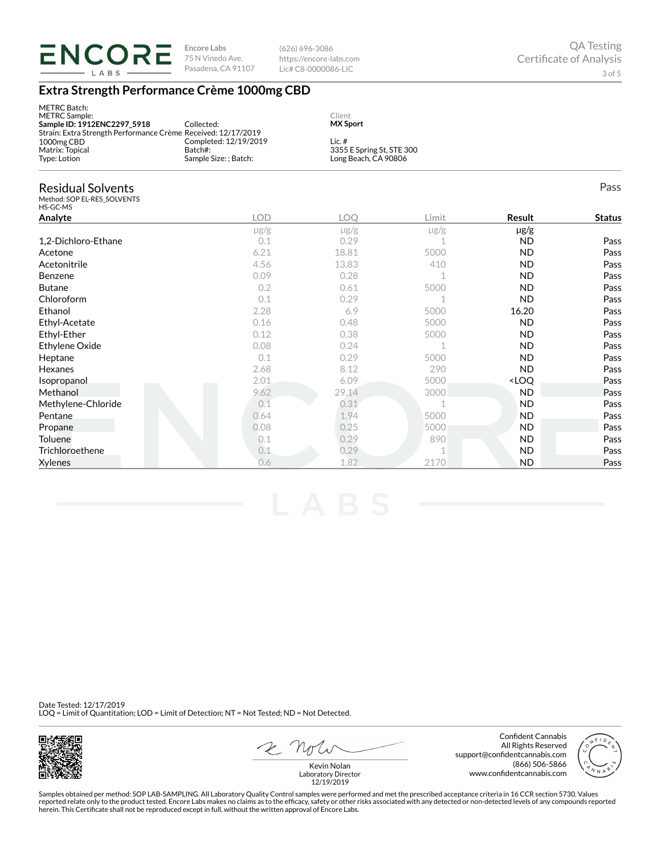

(626) 696-3086 https://encore-labs.com Lic# C8-0000086-LIC

## **Extra Strength Performance Crème 1000mg CBD**

| <b>METRC Batch:</b><br><b>METRC</b> Sample:<br>Sample ID: 1912ENC2297_5918<br>Strain: Extra Strength Performance Crème Received: 12/17/2019 | Collected:                                                | Client<br><b>MX Sport</b> |                                                   |                                  |               |
|---------------------------------------------------------------------------------------------------------------------------------------------|-----------------------------------------------------------|---------------------------|---------------------------------------------------|----------------------------------|---------------|
| 1000mg CBD<br>Matrix: Topical<br>Type: Lotion                                                                                               | Completed: 12/19/2019<br>Batch#:<br>Sample Size: ; Batch: | Lic. $#$                  | 3355 E Spring St, STE 300<br>Long Beach, CA 90806 |                                  |               |
| <b>Residual Solvents</b><br>Method: SOP EL-RES_SOLVENTS<br>HS-GC-MS                                                                         |                                                           |                           |                                                   |                                  | Pass          |
| Analyte                                                                                                                                     | <b>LOD</b>                                                | <b>LOO</b>                | Limit                                             | <b>Result</b>                    | <b>Status</b> |
|                                                                                                                                             | $\mu$ g/g                                                 | $\mu$ g/g                 | $\mu$ g/g                                         | $\mu$ g/g                        |               |
| 1,2-Dichloro-Ethane                                                                                                                         | 0.1                                                       | 0.29                      | -1                                                | <b>ND</b>                        | Pass          |
| Acetone                                                                                                                                     | 6.21                                                      | 18.81                     | 5000                                              | <b>ND</b>                        | Pass          |
| Acetonitrile                                                                                                                                | 4.56                                                      | 13.83                     | 410                                               | <b>ND</b>                        | Pass          |
| Benzene                                                                                                                                     | 0.09                                                      | 0.28                      | $\mathbf 1$                                       | <b>ND</b>                        | Pass          |
| <b>Butane</b>                                                                                                                               | 0.2                                                       | 0.61                      | 5000                                              | <b>ND</b>                        | Pass          |
| Chloroform                                                                                                                                  | 0.1                                                       | 0.29                      | 1                                                 | <b>ND</b>                        | Pass          |
| Ethanol                                                                                                                                     | 2.28                                                      | 6.9                       | 5000                                              | 16.20                            | Pass          |
| Ethyl-Acetate                                                                                                                               | 0.16                                                      | 0.48                      | 5000                                              | <b>ND</b>                        | Pass          |
| Ethyl-Ether                                                                                                                                 | 0.12                                                      | 0.38                      | 5000                                              | <b>ND</b>                        | Pass          |
| Ethylene Oxide                                                                                                                              | 0.08                                                      | 0.24                      | $\mathbf 1$                                       | <b>ND</b>                        | Pass          |
| Heptane                                                                                                                                     | 0.1                                                       | 0.29                      | 5000                                              | <b>ND</b>                        | Pass          |
| Hexanes                                                                                                                                     | 2.68                                                      | 8.12                      | 290                                               | <b>ND</b>                        | Pass          |
| Isopropanol                                                                                                                                 | 2.01                                                      | 6.09                      | 5000                                              | <loq< td=""><td>Pass</td></loq<> | Pass          |
| Methanol                                                                                                                                    | 9.62                                                      | 29.14                     | 3000                                              | <b>ND</b>                        | Pass          |
| Methylene-Chloride                                                                                                                          | 0.1                                                       | 0.31                      | $\mathbf 1$                                       | <b>ND</b>                        | Pass          |
| Pentane                                                                                                                                     | 0.64                                                      | 1.94                      | 5000                                              | <b>ND</b>                        | Pass          |
| Propane                                                                                                                                     | 0.08                                                      | 0.25                      | 5000                                              | <b>ND</b>                        | Pass          |
| Toluene                                                                                                                                     | 0.1                                                       | 0.29                      | 890                                               | <b>ND</b>                        | Pass          |
| Trichloroethene                                                                                                                             | 0.1                                                       | 0.29                      | 1                                                 | <b>ND</b>                        | Pass          |
| Xylenes                                                                                                                                     | 0.6                                                       | 1.82                      | 2170                                              | <b>ND</b>                        | Pass          |

Date Tested: 12/17/2019 LOQ = Limit of Quantitation; LOD = Limit of Detection; NT = Not Tested; ND = Not Detected.



2 Not

Confident Cannabis All Rights Reserved support@confidentcannabis.com (866) 506-5866 www.confidentcannabis.com



Kevin Nolan Laboratory Director 12/19/2019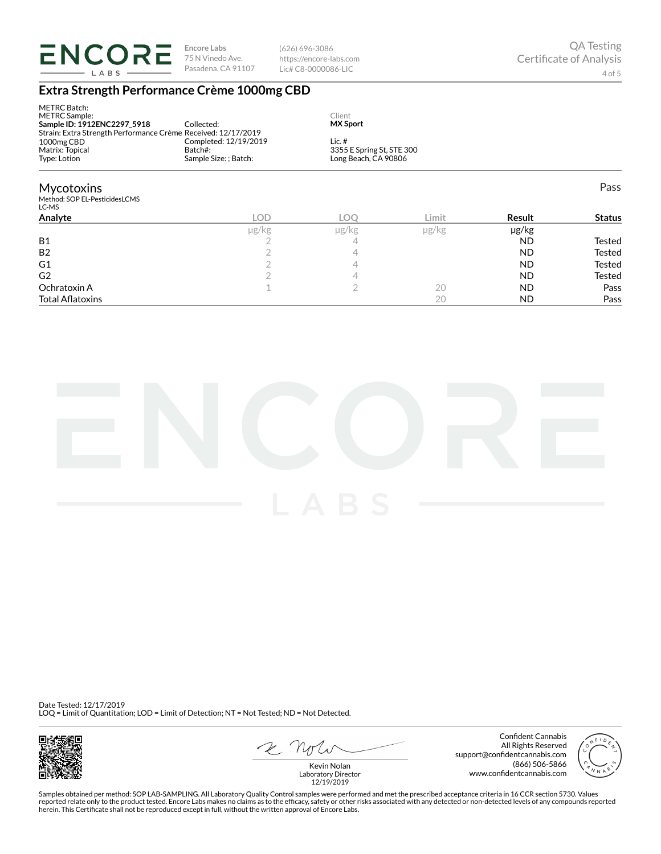

(626) 696-3086 https://encore-labs.com Lic# C8-0000086-LIC

## **Extra Strength Performance Crème 1000mg CBD**

| <b>METRC Batch:</b><br><b>METRC Sample:</b><br>Sample ID: 1912ENC2297 5918<br>Strain: Extra Strength Performance Crème Received: 12/17/2019 | Collected:                                                | Client<br><b>MX Sport</b> |                                                   |               |               |  |  |
|---------------------------------------------------------------------------------------------------------------------------------------------|-----------------------------------------------------------|---------------------------|---------------------------------------------------|---------------|---------------|--|--|
| 1000mg CBD<br>Matrix: Topical<br>Type: Lotion                                                                                               | Completed: 12/19/2019<br>Batch#:<br>Sample Size: ; Batch: | Lic. $#$                  | 3355 E Spring St, STE 300<br>Long Beach, CA 90806 |               |               |  |  |
| <b>Mycotoxins</b><br>Method: SOP EL-PesticidesLCMS<br>LC-MS                                                                                 |                                                           |                           |                                                   |               | Pass          |  |  |
| Analyte                                                                                                                                     | <b>LOD</b>                                                | <b>LOO</b>                | Limit                                             | <b>Result</b> | <b>Status</b> |  |  |
|                                                                                                                                             | µg/kg                                                     | µg/kg                     | µg/kg                                             | $\mu$ g/kg    |               |  |  |
| <b>B1</b>                                                                                                                                   |                                                           | 4                         |                                                   | <b>ND</b>     | <b>Tested</b> |  |  |
| <b>B2</b>                                                                                                                                   |                                                           | 4                         |                                                   | <b>ND</b>     | Tested        |  |  |
| G <sub>1</sub>                                                                                                                              |                                                           | 4                         |                                                   | ND.           | Tested        |  |  |
| G <sub>2</sub>                                                                                                                              |                                                           | 4                         |                                                   | ND.           | Tested        |  |  |
| Ochratoxin A                                                                                                                                |                                                           | $\overline{2}$            | 20                                                | <b>ND</b>     | Pass          |  |  |
| <b>Total Aflatoxins</b>                                                                                                                     |                                                           |                           | 20                                                | ND            | Pass          |  |  |



Date Tested: 12/17/2019 LOQ = Limit of Quantitation; LOD = Limit of Detection; NT = Not Tested; ND = Not Detected.



2 Not

Confident Cannabis All Rights Reserved support@confidentcannabis.com (866) 506-5866 www.confidentcannabis.com



Kevin Nolan Laboratory Director 12/19/2019